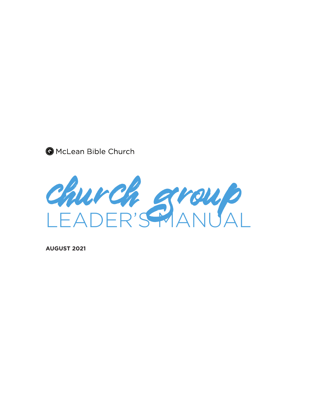



**AUGUST 2021**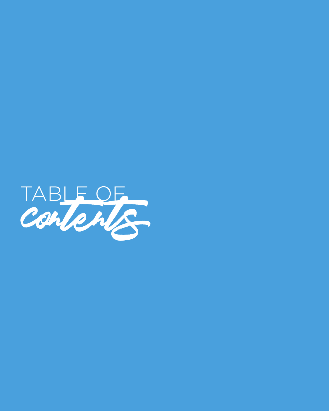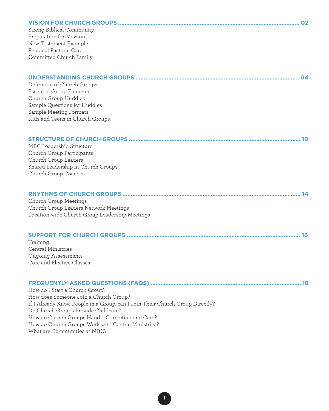| Strong Biblical Community<br>Preparation for Mission<br>New Testament Example<br>Personal Pastoral Care<br>Committed Church Family                                                                                                                                                                                                       |  |
|------------------------------------------------------------------------------------------------------------------------------------------------------------------------------------------------------------------------------------------------------------------------------------------------------------------------------------------|--|
| Definition of Church Groups<br>Essential Group Elements<br>Church Group Huddles<br>Sample Questions for Huddles<br>Sample Meeting Formats<br>Kids and Teens in Church Groups                                                                                                                                                             |  |
| MBC Leadership Structure<br>Church Group Participants<br>Church Group Leaders<br>Shared Leadership in Church Groups<br>Church Group Coaches                                                                                                                                                                                              |  |
| Church Group Meetings<br>Church Group Leaders Network Meetings<br>Location-wide Church Group Leadership Meetings                                                                                                                                                                                                                         |  |
| Training<br>Central Ministries<br><b>Ongoing Assessments</b><br>Core and Elective Classes                                                                                                                                                                                                                                                |  |
| How do I Start a Church Group?<br>How does Someone Join a Church Group?<br>If I Already Know People in a Group, can I Join Their Church Group Directly?<br>Do Church Groups Provide Childcare?<br>How do Church Groups Handle Correction and Care?<br>How do Church Groups Work with Central Ministries?<br>What are Communities at MBC? |  |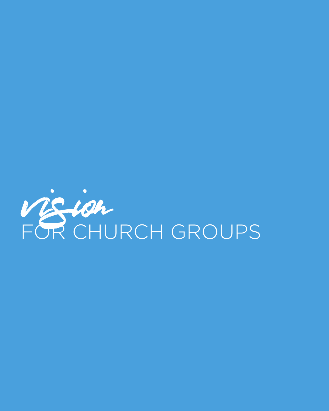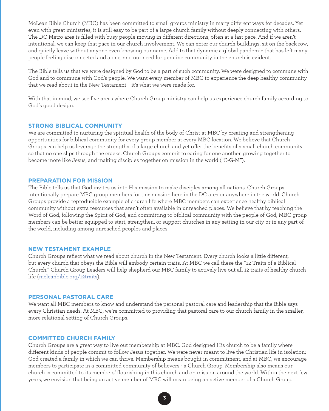McLean Bible Church (MBC) has been committed to small groups ministry in many different ways for decades. Yet even with great ministries, it is still easy to be part of a large church family without deeply connecting with others. The DC Metro area is filled with busy people moving in different directions, often at a fast pace. And if we aren't intentional, we can keep that pace in our church involvement. We can enter our church buildings, sit on the back row, and quietly leave without anyone even knowing our name. Add to that dynamic a global pandemic that has left many people feeling disconnected and alone, and our need for genuine community in the church is evident.

The Bible tells us that we were designed by God to be a part of such community. We were designed to commune with God and to commune with God's people. We want every member of MBC to experience the deep healthy community that we read about in the New Testament – it's what we were made for.

With that in mind, we see five areas where Church Group ministry can help us experience church family according to God's good design.

### **STRONG BIBLICAL COMMUNITY**

We are committed to nurturing the spiritual health of the body of Christ at MBC by creating and strengthening opportunities for biblical community for every group member at every MBC location. We believe that Church Groups can help us leverage the strengths of a large church and yet offer the benefits of a small church community so that no one slips through the cracks. Church Groups commit to caring for one another, growing together to become more like Jesus, and making disciples together on mission in the world ("C-G-M").

#### **PREPARATION FOR MISSION**

The Bible tells us that God invites us into His mission to make disciples among all nations. Church Groups intentionally prepare MBC group members for this mission here in the DC area or anywhere in the world. Church Groups provide a reproducible example of church life where MBC members can experience healthy biblical community without extra resources that aren't often available in unreached places. We believe that by teaching the Word of God, following the Spirit of God, and committing to biblical community with the people of God, MBC group members can be better equipped to start, strengthen, or support churches in any setting in our city or in any part of the world, including among unreached peoples and places.

#### **NEW TESTAMENT EXAMPLE**

Church Groups reflect what we read about church in the New Testament. Every church looks a little different, but every church that obeys the Bible will embody certain traits. At MBC we call these the "12 Traits of a Biblical Church." Church Group Leaders will help shepherd our MBC family to actively live out all [12 traits of healthy church](https://mcleanbible.org/12traits/)  [life \(mcleanbible.org/12traits\)](https://mcleanbible.org/12traits/).

#### **PERSONAL PASTORAL CARE**

We want all MBC members to know and understand the personal pastoral care and leadership that the Bible says every Christian needs. At MBC, we're committed to providing that pastoral care to our church family in the smaller, more relational setting of Church Groups.

#### **COMMITTED CHURCH FAMILY**

Church Groups are a great way to live out membership at MBC. God designed His church to be a family where different kinds of people commit to follow Jesus together. We were never meant to live the Christian life in isolation; God created a family in which we can thrive. Membership means bought-in commitment, and at MBC, we encourage members to participate in a committed community of believers - a Church Group. Membership also means our church is committed to its members' flourishing in this church and on mission around the world. Within the next few years, we envision that being an active member of MBC will mean being an active member of a Church Group.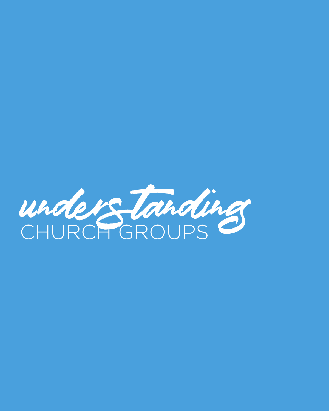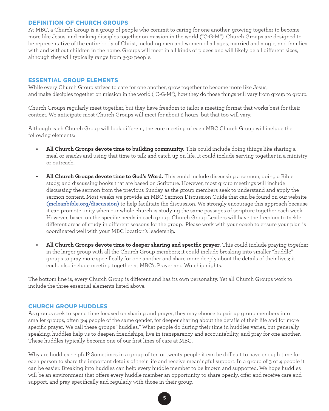# **DEFINITION OF CHURCH GROUPS**

At MBC, a Church Group is a group of people who commit to caring for one another, growing together to become more like Jesus, and making disciples together on mission in the world ("C-G-M"). Church Groups are designed to be representative of the entire body of Christ, including men and women of all ages, married and single, and families with and without children in the home. Groups will meet in all kinds of places and will likely be all different sizes, although they will typically range from 3-30 people.

# **ESSENTIAL GROUP ELEMENTS**

While every Church Group strives to care for one another, grow together to become more like Jesus, and make disciples together on mission in the world ("C-G-M"), how they do those things will vary from group to group.

Church Groups regularly meet together, but they have freedom to tailor a meeting format that works best for their context. We anticipate most Church Groups will meet for about 2 hours, but that too will vary.

Although each Church Group will look different, the core meeting of each MBC Church Group will include the following elements:

- **• All Church Groups devote time to building community.** This could include doing things like sharing a meal or snacks and using that time to talk and catch up on life. It could include serving together in a ministry or outreach.
- **• All Church Groups devote time to God's Word.** This could include discussing a sermon, doing a Bible study, and discussing books that are based on Scripture. However, most group meetings will include discussing the sermon from the previous Sunday as the group members seek to understand and apply the sermon content. Most weeks we provide an MBC Sermon Discussion Guide that can be found on our [website](https://mcleanbible.org/tysons/discussion-guides/) **(mcleanbible.org/discussion)** to help facilitate the discussion. We strongly encourage this approach because it can promote unity when our whole church is studying the same passages of scripture together each week. However, based on the specific needs in each group, Church Group Leaders will have the freedom to tackle different areas of study in different seasons for the group. Please work with your coach to ensure your plan is coordinated well with your MBC location's leadership.
- **• All Church Groups devote time to deeper sharing and specific prayer.** This could include praying together in the larger group with all the Church Group members; it could include breaking into smaller "huddle" groups to pray more specifically for one another and share more deeply about the details of their lives; it could also include meeting together at MBC's Prayer and Worship nights.

The bottom line is, every Church Group is different and has its own personality. Yet all Church Groups work to include the three essential elements listed above.

### **CHURCH GROUP HUDDLES**

As groups seek to spend time focused on sharing and prayer, they may choose to pair up group members into smaller groups, often 3-4 people of the same gender, for deeper sharing about the details of their life and for more specific prayer. We call these groups "huddles." What people do during their time in huddles varies, but generally speaking, huddles help us to deepen friendships, live in transparency and accountability, and pray for one another. These huddles typically become one of our first lines of care at MBC.

Why are huddles helpful? Sometimes in a group of ten or twenty people it can be difficult to have enough time for each person to share the important details of their life and receive meaningful support. In a group of 3 or 4 people it can be easier. Breaking into huddles can help every huddle member to be known and supported. We hope huddles will be an environment that offers every huddle member an opportunity to share openly, offer and receive care and support, and pray specifically and regularly with those in their group.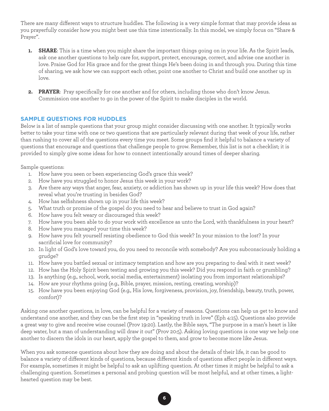There are many different ways to structure huddles. The following is a very simple format that may provide ideas as you prayerfully consider how you might best use this time intentionally. In this model, we simply focus on "Share & Prayer".

- **1. SHARE**: This is a time when you might share the important things going on in your life. As the Spirit leads, ask one another questions to help care for, support, protect, encourage, correct, and advise one another in love. Praise God for His grace and for the great things He's been doing in and through you. During this time of sharing, we ask how we can support each other, point one another to Christ and build one another up in love.
- **2. PRAYER**: Pray specifically for one another and for others, including those who don't know Jesus. Commission one another to go in the power of the Spirit to make disciples in the world.

# **SAMPLE QUESTIONS FOR HUDDLES**

Below is a list of sample questions that your group might consider discussing with one another. It typically works better to take your time with one or two questions that are particularly relevant during that week of your life, rather than rushing to cover all of the questions every time you meet. Some groups find it helpful to balance a variety of questions that encourage and questions that challenge people to grow. Remember, this list is not a checklist; it is provided to simply give some ideas for how to connect intentionally around times of deeper sharing.

Sample questions:

- 1. How have you seen or been experiencing God's grace this week?
- 2. How have you struggled to honor Jesus this week in your work?
- 3. Are there any ways that anger, fear, anxiety, or addiction has shown up in your life this week? How does that reveal what you're trusting in besides God?
- 4. How has selfishness shown up in your life this week?
- 5. What truth or promise of the gospel do you need to hear and believe to trust in God again?
- 6. How have you felt weary or discouraged this week?
- 7. How have you been able to do your work with excellence as unto the Lord, with thankfulness in your heart?
- 8. How have you managed your time this week?
- 9. How have you felt yourself resisting obedience to God this week? In your mission to the lost? In your sacrificial love for community?
- 10. In light of God's love toward you, do you need to reconcile with somebody? Are you subconsciously holding a grudge?
- 11. How have you battled sexual or intimacy temptation and how are you preparing to deal with it next week?
- 12. How has the Holy Spirit been testing and growing you this week? Did you respond in faith or grumbling?
- 13. Is anything (e.g., school, work, social media, entertainment) isolating you from important relationships?
- 14. How are your rhythms going (e.g., Bible, prayer, mission, resting, creating, worship)?
- 15. How have you been enjoying God (e.g., His love, forgiveness, provision, joy, friendship, beauty, truth, power, comfort)?

Asking one another questions, in love, can be helpful for a variety of reasons. Questions can help us get to know and understand one another, and they can be the first step in "speaking truth in love" (Eph 4:15). Questions also provide a great way to give and receive wise counsel (Prov 19:20). Lastly, the Bible says, "The purpose in a man's heart is like deep water, but a man of understanding will draw it out" (Prov 20:5). Asking loving questions is one way we help one another to discern the idols in our heart, apply the gospel to them, and grow to become more like Jesus.

When you ask someone questions about how they are doing and about the details of their life, it can be good to balance a variety of different kinds of questions, because different kinds of questions affect people in different ways. For example, sometimes it might be helpful to ask an uplifting question. At other times it might be helpful to ask a challenging question. Sometimes a personal and probing question will be most helpful, and at other times, a lighthearted question may be best.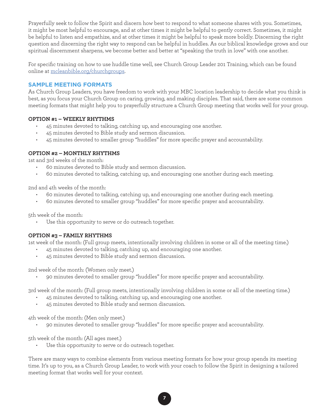Prayerfully seek to follow the Spirit and discern how best to respond to what someone shares with you. Sometimes, it might be most helpful to encourage, and at other times it might be helpful to gently correct. Sometimes, it might be helpful to listen and empathize, and at other times it might be helpful to speak more boldly. Discerning the right question and discerning the right way to respond can be helpful in huddles. As our biblical knowledge grows and our spiritual discernment sharpens, we become better and better at "speaking the truth in love" with one another.

For specific training on how to use huddle time well, see Church Group Leader 201 Training, which can be found online at [mcleanbible.org/churchgroups](https://mcleanbible.org/churchgroups).

# **SAMPLE MEETING FORMATS**

As Church Group Leaders, you have freedom to work with your MBC location leadership to decide what you think is best, as you focus your Church Group on caring, growing, and making disciples. That said, there are some common meeting formats that might help you to prayerfully structure a Church Group meeting that works well for your group.

## **OPTION #1 – WEEKLY RHYTHMS**

- 45 minutes devoted to talking, catching up, and encouraging one another.
- 45 minutes devoted to Bible study and sermon discussion.
- 45 minutes devoted to smaller group "huddles" for more specific prayer and accountability.

## **OPTION #2 – MONTHLY RHYTHMS**

1st and 3rd weeks of the month:

- 60 minutes devoted to Bible study and sermon discussion.
- 60 minutes devoted to talking, catching up, and encouraging one another during each meeting.

2nd and 4th weeks of the month:

- 60 minutes devoted to talking, catching up, and encouraging one another during each meeting.
- 60 minutes devoted to smaller group "huddles" for more specific prayer and accountability.

5th week of the month:

• Use this opportunity to serve or do outreach together.

# **OPTION #3 – FAMILY RHYTHMS**

1st week of the month: (Full group meets, intentionally involving children in some or all of the meeting time.)

- 45 minutes devoted to talking, catching up, and encouraging one another.
- 45 minutes devoted to Bible study and sermon discussion.

2nd week of the month: (Women only meet.)

• 90 minutes devoted to smaller group "huddles" for more specific prayer and accountability.

3rd week of the month: (Full group meets, intentionally involving children in some or all of the meeting time.)

- 45 minutes devoted to talking, catching up, and encouraging one another.
- 45 minutes devoted to Bible study and sermon discussion.

4th week of the month: (Men only meet.)

• 90 minutes devoted to smaller group "huddles" for more specific prayer and accountability.

5th week of the month: (All ages meet.)

• Use this opportunity to serve or do outreach together.

There are many ways to combine elements from various meeting formats for how your group spends its meeting time. It's up to you, as a Church Group Leader, to work with your coach to follow the Spirit in designing a tailored meeting format that works well for your context.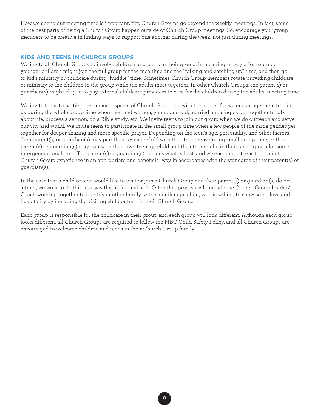How we spend our meeting time is important. Yet, Church Groups go beyond the weekly meetings. In fact, some of the best parts of being a Church Group happen outside of Church Group meetings. So, encourage your group members to be creative in finding ways to support one another during the week, not just during meetings.

## **KIDS AND TEENS IN CHURCH GROUPS**

We invite all Church Groups to involve children and teens in their groups in meaningful ways. For example, younger children might join the full group for the mealtime and the "talking and catching up" time, and then go to kid's ministry or childcare during "huddle" time. Sometimes Church Group members rotate providing childcare or ministry to the children in the group while the adults meet together. In other Church Groups, the parent(s) or guardian(s) might chip in to pay external childcare providers to care for the children during the adults' meeting time.

We invite teens to participate in most aspects of Church Group life with the adults. So, we encourage them to join us during the whole group time when men and women, young and old, married and singles get together to talk about life, process a sermon, do a Bible study, etc. We invite teens to join our group when we do outreach and serve our city and world. We invite teens to participate in the small group time when a few people of the same gender get together for deeper sharing and more specific prayer. Depending on the teen's age, personality, and other factors, their parent(s) or guardian(s) may pair their teenage child with the other teens during small group time, or their parent(s) or guardian(s) may pair with their own teenage child and the other adults in their small group for some intergenerational time. The parent(s) or guardian(s) decides what is best, and we encourage teens to join in the Church Group experience in an appropriate and beneficial way in accordance with the standards of their parent(s) or guardian(s).

In the case that a child or teen would like to visit or join a Church Group and their parent(s) or guardian(s) do not attend, we work to do this in a way that is fun and safe. Often that process will include the Church Group Leader/ Coach working together to identify another family, with a similar age child, who is willing to show some love and hospitality by including the visiting child or teen in their Church Group.

Each group is responsible for the childcare in their group and each group will look different. Although each group looks different, all Church Groups are required to follow the MBC Child Safety Policy, and all Church Groups are encouraged to welcome children and teens in their Church Group family.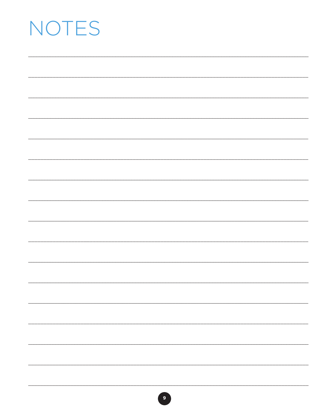# NOTES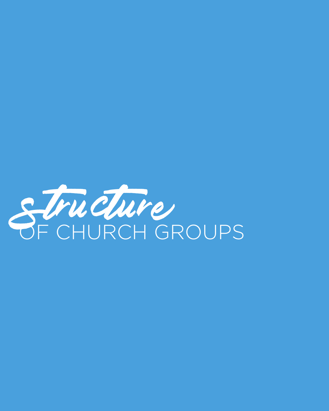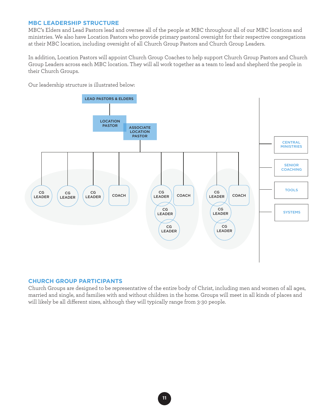# **MBC LEADERSHIP STRUCTURE**

MBC's Elders and Lead Pastors lead and oversee all of the people at MBC throughout all of our MBC locations and ministries. We also have Location Pastors who provide primary pastoral oversight for their respective congregations at their MBC location, including oversight of all Church Group Pastors and Church Group Leaders.

In addition, Location Pastors will appoint Church Group Coaches to help support Church Group Pastors and Church Group Leaders across each MBC location. They will all work together as a team to lead and shepherd the people in their Church Groups.

Our leadership structure is illustrated below:



### **CHURCH GROUP PARTICIPANTS**

Church Groups are designed to be representative of the entire body of Christ, including men and women of all ages, married and single, and families with and without children in the home. Groups will meet in all kinds of places and will likely be all different sizes, although they will typically range from 3-30 people.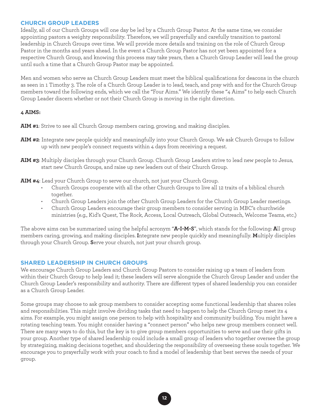# **CHURCH GROUP LEADERS**

Ideally, all of our Church Groups will one day be led by a Church Group Pastor. At the same time, we consider appointing pastors a weighty responsibility. Therefore, we will prayerfully and carefully transition to pastoral leadership in Church Groups over time. We will provide more details and training on the role of Church Group Pastor in the months and years ahead. In the event a Church Group Pastor has not yet been appointed for a respective Church Group, and knowing this process may take years, then a Church Group Leader will lead the group until such a time that a Church Group Pastor may be appointed.

Men and women who serve as Church Group Leaders must meet the biblical qualifications for deacons in the church as seen in 1 Timothy 3. The role of a Church Group Leader is to lead, teach, and pray with and for the Church Group members toward the following ends, which we call the "Four Aims." We identify these "4 Aims" to help each Church Group Leader discern whether or not their Church Group is moving in the right direction.

## **4 AIMS:**

**AIM #1**: Strive to see all Church Group members caring, growing, and making disciples.

- **AIM #2**: Integrate new people quickly and meaningfully into your Church Group. We ask Church Groups to follow up with new people's connect requests within 4 days from receiving a request.
- **AIM #3**: Multiply disciples through your Church Group. Church Group Leaders strive to lead new people to Jesus, start new Church Groups, and raise up new leaders out of their Church Group.
- **AIM #4**: Lead your Church Group to serve our church, not just your Church Group.
	- Church Groups cooperate with all the other Church Groups to live all 12 traits of a biblical church together.
	- Church Group Leaders join the other Church Group Leaders for the Church Group Leader meetings.
	- Church Group Leaders encourage their group members to consider serving in MBC's churchwide ministries (e.g., Kid's Quest, The Rock, Access, Local Outreach, Global Outreach, Welcome Teams, etc.)

The above aims can be summarized using the helpful acronym "**A-I-M-S**", which stands for the following: **A**ll group members caring, growing, and making disciples. **I**ntegrate new people quickly and meaningfully. **M**ultiply disciples through your Church Group. **S**erve your church, not just your church group.

# **SHARED LEADERSHIP IN CHURCH GROUPS**

We encourage Church Group Leaders and Church Group Pastors to consider raising up a team of leaders from within their Church Group to help lead it; these leaders will serve alongside the Church Group Leader and under the Church Group Leader's responsibility and authority. There are different types of shared leadership you can consider as a Church Group Leader.

Some groups may choose to ask group members to consider accepting some functional leadership that shares roles and responsibilities. This might involve dividing tasks that need to happen to help the Church Group meet its 4 aims. For example, you might assign one person to help with hospitality and community building. You might have a rotating teaching team. You might consider having a "connect person" who helps new group members connect well. There are many ways to do this, but the key is to give group members opportunities to serve and use their gifts in your group. Another type of shared leadership could include a small group of leaders who together oversee the group by strategizing, making decisions together, and shouldering the responsibility of overseeing these souls together. We encourage you to prayerfully work with your coach to find a model of leadership that best serves the needs of your group.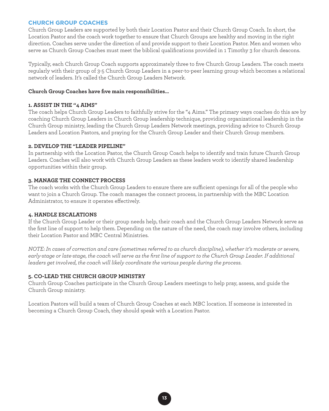# **CHURCH GROUP COACHES**

Church Group Leaders are supported by both their Location Pastor and their Church Group Coach. In short, the Location Pastor and the coach work together to ensure that Church Groups are healthy and moving in the right direction. Coaches serve under the direction of and provide support to their Location Pastor. Men and women who serve as Church Group Coaches must meet the biblical qualifications provided in 1 Timothy 3 for church deacons.

Typically, each Church Group Coach supports approximately three to five Church Group Leaders. The coach meets regularly with their group of 3-5 Church Group Leaders in a peer-to-peer learning group which becomes a relational network of leaders. It's called the Church Group Leaders Network.

## **Church Group Coaches have five main responsibilities…**

## **1. ASSIST IN THE "4 AIMS"**

The coach helps Church Group Leaders to faithfully strive for the "4 Aims." The primary ways coaches do this are by coaching Church Group Leaders in Church Group leadership technique, providing organizational leadership in the Church Group ministry, leading the Church Group Leaders Network meetings, providing advice to Church Group Leaders and Location Pastors, and praying for the Church Group Leader and their Church Group members.

## **2. DEVELOP THE "LEADER PIPELINE"**

In partnership with the Location Pastor, the Church Group Coach helps to identify and train future Church Group Leaders. Coaches will also work with Church Group Leaders as these leaders work to identify shared leadership opportunities within their group.

# **3. MANAGE THE CONNECT PROCESS**

The coach works with the Church Group Leaders to ensure there are sufficient openings for all of the people who want to join a Church Group. The coach manages the connect process, in partnership with the MBC Location Administrator, to ensure it operates effectively.

# **4. HANDLE ESCALATIONS**

If the Church Group Leader or their group needs help, their coach and the Church Group Leaders Network serve as the first line of support to help them. Depending on the nature of the need, the coach may involve others, including their Location Pastor and MBC Central Ministries.

*NOTE: In cases of correction and care (sometimes referred to as church discipline), whether it's moderate or severe,*  early-stage or late-stage, the coach will serve as the first line of support to the Church Group Leader. If additional *leaders get involved, the coach will likely coordinate the various people during the process.* 

# **5. CO-LEAD THE CHURCH GROUP MINISTRY**

Church Group Coaches participate in the Church Group Leaders meetings to help pray, assess, and guide the Church Group ministry.

Location Pastors will build a team of Church Group Coaches at each MBC location. If someone is interested in becoming a Church Group Coach, they should speak with a Location Pastor.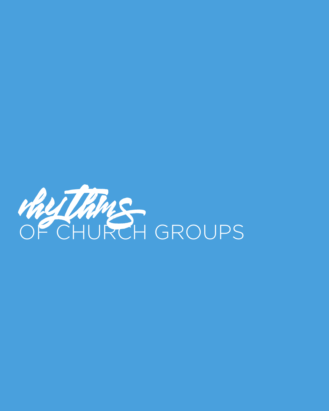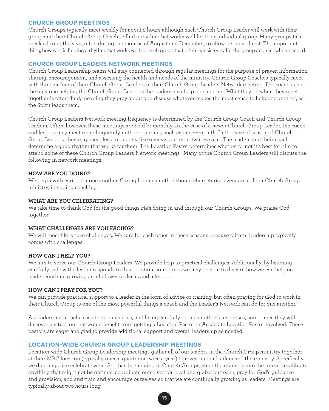## **CHURCH GROUP MEETINGS**

Church Groups typically meet weekly for about 2 hours although each Church Group Leader will work with their group and their Church Group Coach to find a rhythm that works well for their individual group. Many groups take breaks during the year, often during the months of August and December, to allow periods of rest. The important thing, however, is finding a rhythm that works well for each group that offers consistency for the group and rest when needed.

## **CHURCH GROUP LEADERS NETWORK MEETINGS**

Church Group Leadership teams will stay connected through regular meetings for the purpose of prayer, information sharing, encouragement, and assessing the health and needs of the ministry. Church Group Coaches typically meet with three or four of their Church Group Leaders in their Church Group Leaders Network meeting. The coach is not the only one helping the Church Group Leaders; the leaders also help one another. What they do when they meet together is often fluid, meaning they pray about and discuss whatever makes the most sense to help one another, as the Spirit leads them.

Church Group Leaders Network meeting frequency is determined by the Church Group Coach and Church Group Leaders. Often, however, these meetings are held bi-monthly. In the case of a newer Church Group Leader, the coach and leaders may meet more frequently in the beginning, such as once-a-month. In the case of seasoned Church Group Leaders, they may meet less frequently like once-a-quarter or twice-a-year. The leaders and their coach determine a good rhythm that works for them. The Location Pastor determines whether or not it's best for him to attend some of these Church Group Leaders Network meetings. Many of the Church Group Leaders will discuss the following in network meetings:

## **HOW ARE YOU DOING?**

We begin with caring for one another. Caring for one another should characterize every area of our Church Group ministry, including coaching.

## **WHAT ARE YOU CELEBRATING?**

We take time to thank God for the good things He's doing in and through our Church Groups. We praise God together.

# **WHAT CHALLENGES ARE YOU FACING?**

We will most likely face challenges. We care for each other in these seasons because faithful leadership typically comes with challenges.

### **HOW CAN I HELP YOU?**

We aim to serve our Church Group Leaders. We provide help to practical challenges. Additionally, by listening carefully to how the leader responds to this question, sometimes we may be able to discern how we can help our leader continue growing as a follower of Jesus and a leader.

### **HOW CAN I PRAY FOR YOU?**

We can provide practical support to a leader in the form of advice or training, but often praying for God to work in their Church Group is one of the most powerful things a coach and the Leader's Network can do for one another.

As leaders and coaches ask these questions, and listen carefully to one another's responses, sometimes they will discover a situation that would benefit from getting a Location Pastor or Associate Location Pastor involved. These pastors are eager and glad to provide additional support and overall leadership as needed.

# **LOCATION-WIDE CHURCH GROUP LEADERSHIP MEETINGS**

Location-wide Church Group Leadership meetings gather all of our leaders in the Church Group ministry together at their MBC location (typically once a quarter or twice a year) to invest in our leaders and the ministry. Specifically, we do things like celebrate what God has been doing in Church Groups, steer the ministry into the future, recalibrate anything that might not be optimal, coordinate ourselves for local and global outreach, pray for God's guidance and provision, and and train and encourage ourselves so that we are continually growing as leaders. Meetings are typically about two hours long.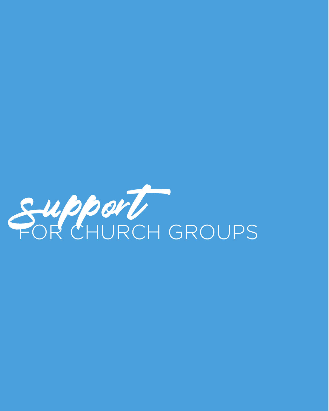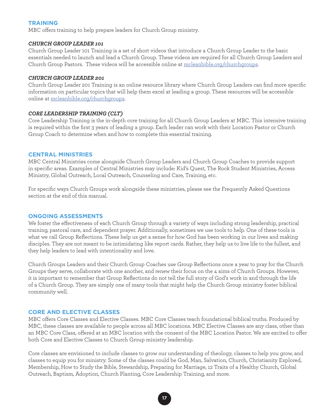# **TRAINING**

MBC offers training to help prepare leaders for Church Group ministry.

### *CHURCH GROUP LEADER 101*

Church Group Leader 101 Training is a set of short videos that introduce a Church Group Leader to the basic essentials needed to launch and lead a Church Group. These videos are required for all Church Group Leaders and Church Group Pastors. These videos will be accessible online at [mcleanbible.org/churchgroups](https://mcleanbible.org/churchgroups).

#### *CHURCH GROUP LEADER 201*

Church Group Leader 201 Training is an online resource library where Church Group Leaders can find more specific information on particular topics that will help them excel at leading a group. These resources will be accessible online at [mcleanbible.org/churchgroups](https://mcleanbible.org/churchgroups).

#### *CORE LEADERSHIP TRAINING (CLT)*

Core Leadership Training is the in-depth core training for all Church Group Leaders at MBC. This intensive training is required within the first 3 years of leading a group. Each leader can work with their Location Pastor or Church Group Coach to determine when and how to complete this essential training.

### **CENTRAL MINISTRIES**

MBC Central Ministries come alongside Church Group Leaders and Church Group Coaches to provide support in specific areas. Examples of Central Ministries may include: Kid's Quest, The Rock Student Ministries, Access Ministry, Global Outreach, Local Outreach, Counseling and Care, Training, etc.

For specific ways Church Groups work alongside these ministries, please see the Frequently Asked Questions section at the end of this manual.

#### **ONGOING ASSESSMENTS**

We foster the effectiveness of each Church Group through a variety of ways including strong leadership, practical training, pastoral care, and dependent prayer. Additionally, sometimes we use tools to help. One of these tools is what we call Group Reflections. These help us get a sense for how God has been working in our lives and making disciples. They are not meant to be intimidating like report cards. Rather, they help us to live life to the fullest, and they help leaders to lead with intentionality and love.

Church Groups Leaders and their Church Group Coaches use Group Reflections once a year to pray for the Church Groups they serve, collaborate with one another, and renew their focus on the 4 aims of Church Groups. However, it is important to remember that Group Reflections do not tell the full story of God's work in and through the life of a Church Group. They are simply one of many tools that might help the Church Group ministry foster biblical community well.

#### **CORE AND ELECTIVE CLASSES**

MBC offers Core Classes and Elective Classes. MBC Core Classes teach foundational biblical truths. Produced by MBC, these classes are available to people across all MBC locations. MBC Elective Classes are any class, other than an MBC Core Class, offered at an MBC location with the consent of the MBC Location Pastor. We are excited to offer both Core and Elective Classes to Church Group ministry leadership.

Core classes are envisioned to include classes to grow our understanding of theology, classes to help you grow, and classes to equip you for ministry. Some of the classes could be God, Man, Salvation, Church, Christianity Explored, Membership, How to Study the Bible, Stewardship, Preparing for Marriage, 12 Traits of a Healthy Church, Global Outreach, Baptism, Adoption, Church Planting, Core Leadership Training, and more.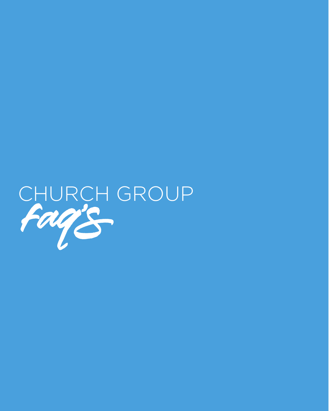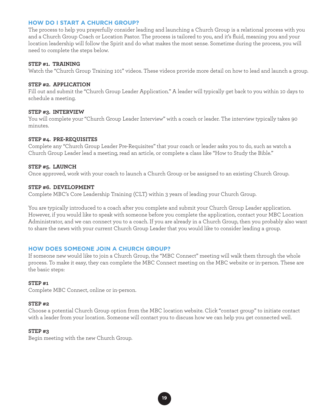# **HOW DO I START A CHURCH GROUP?**

The process to help you prayerfully consider leading and launching a Church Group is a relational process with you and a Church Group Coach or Location Pastor. The process is tailored to you, and it's fluid, meaning you and your location leadership will follow the Spirit and do what makes the most sense. Sometime during the process, you will need to complete the steps below.

#### **STEP #1. TRAINING**

Watch the "Church Group Training 101" videos. These videos provide more detail on how to lead and launch a group.

#### **STEP #2. APPLICATION**

Fill out and submit the "Church Group Leader Application." A leader will typically get back to you within 10 days to schedule a meeting.

#### **STEP #3. INTERVIEW**

You will complete your "Church Group Leader Interview" with a coach or leader. The interview typically takes 90 minutes.

#### **STEP #4. PRE-REQUISITES**

Complete any "Church Group Leader Pre-Requisites" that your coach or leader asks you to do, such as watch a Church Group Leader lead a meeting, read an article, or complete a class like "How to Study the Bible."

#### **STEP #5. LAUNCH**

Once approved, work with your coach to launch a Church Group or be assigned to an existing Church Group.

#### **STEP #6. DEVELOPMENT**

Complete MBC's Core Leadership Training (CLT) within 3 years of leading your Church Group.

You are typically introduced to a coach after you complete and submit your Church Group Leader application. However, if you would like to speak with someone before you complete the application, contact your MBC Location Administrator, and we can connect you to a coach. If you are already in a Church Group, then you probably also want to share the news with your current Church Group Leader that you would like to consider leading a group.

# **HOW DOES SOMEONE JOIN A CHURCH GROUP?**

If someone new would like to join a Church Group, the "MBC Connect" meeting will walk them through the whole process. To make it easy, they can complete the MBC Connect meeting on the MBC website or in-person. These are the basic steps:

### **STEP #1**

Complete MBC Connect, online or in-person.

#### **STEP #2**

Choose a potential Church Group option from the MBC location website. Click "contact group" to initiate contact with a leader from your location. Someone will contact you to discuss how we can help you get connected well.

### **STEP #3**

Begin meeting with the new Church Group.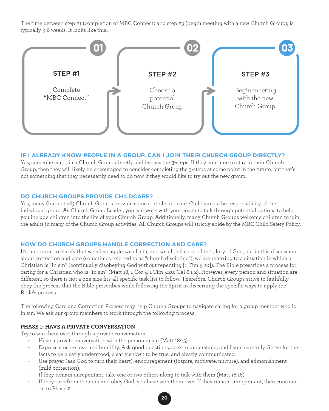The time between step #1 (completion of MBC Connect) and step #3 (begin meeting with a new Church Group), is typically 3-6 weeks. It looks like this...



# **IF I ALREADY KNOW PEOPLE IN A GROUP, CAN I JOIN THEIR CHURCH GROUP DIRECTLY?**

Yes, someone can join a Church Group directly and bypass the 3-steps. If they continue to stay in their Church Group, then they will likely be encouraged to consider completing the 3-steps at some point in the future, but that's not something that they necessarily need to do now if they would like to try out the new group.

# **DO CHURCH GROUPS PROVIDE CHILDCARE?**

Yes, many (but not all) Church Groups provide some sort of childcare. Childcare is the responsibility of the individual group. As Church Group Leader, you can work with your coach to talk through potential options to help you include children into the life of your Church Group. Additionally, many Church Groups welcome children to join the adults in many of the Church Group activities. All Church Groups will strictly abide by the MBC Child Safety Policy.

# **HOW DO CHURCH GROUPS HANDLE CORRECTION AND CARE?**

It's important to clarify that we all struggle, we all sin, and we all fall short of the glory of God, but in this discussion about correction and care (sometimes referred to as "church discipline"), we are referring to a situation in which a Christian is "in sin" (continually disobeying God without repenting [1 Tim 5:20]). The Bible prescribes a process for caring for a Christian who is "in sin" (Matt 18; 1 Cor 5; 1 Tim 5:20; Gal 6:1-2). However, every person and situation are different, so there is not a one-size fits-all specific task list to follow. Therefore, Church Groups strive to faithfully obey the process that the Bible prescribes while following the Spirit in discerning the specific ways to apply the Bible's process.

The following Care and Correction Process may help Church Groups to navigate caring for a group member who is in sin. We ask our group members to work through the following process:

# **PHASE 1: HAVE A PRIVATE CONVERSATION**

Try to win them over through a private conversation.

- Have a private conversation with the person in sin (Matt 18:15).
- Express sincere love and humility. Ask good questions, seek to understand, and listen carefully. Strive for the facts to be clearly understood, clearly shown to be true, and clearly communicated.
- Use prayer (ask God to turn their heart), encouragement (inspire, motivate, nurture), and admonishment (mild correction).
- If they remain unrepentant, take one or two others along to talk with them (Matt 18:16).
- If they turn from their sin and obey God, you have won them over. If they remain unrepentant, then continue on to Phase 2.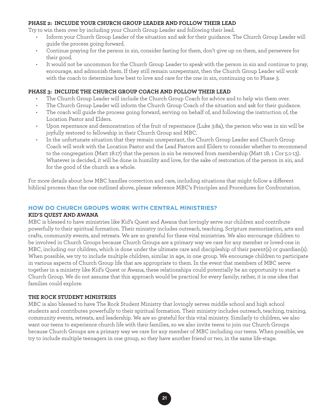### **PHASE 2: INCLUDE YOUR CHURCH GROUP LEADER AND FOLLOW THEIR LEAD**

Try to win them over by including your Church Group Leader and following their lead.

- Inform your Church Group Leader of the situation and ask for their guidance. The Church Group Leader will guide the process going forward.
- Continue praying for the person in sin, consider fasting for them, don't give up on them, and persevere for their good.
- It would not be uncommon for the Church Group Leader to speak with the person in sin and continue to pray, encourage, and admonish them. If they still remain unrepentant, then the Church Group Leader will work with the coach to determine how best to love and care for the one in sin, continuing on to Phase 3.

#### **PHASE 3: INCLUDE THE CHURCH GROUP COACH AND FOLLOW THEIR LEAD**

- The Church Group Leader will include the Church Group Coach for advice and to help win them over.
- The Church Group Leader will inform the Church Group Coach of the situation and ask for their guidance.
- The coach will guide the process going forward, serving on behalf of, and following the instruction of, the Location Pastor and Elders.
- Upon repentance and demonstration of the fruit of repentance (Luke 3:8a), the person who was in sin will be joyfully restored to fellowship in their Church Group and MBC.
- In the unfortunate situation that they remain unrepentant, the Church Group Leader and Church Group Coach will work with the Location Pastor and the Lead Pastors and Elders to consider whether to recommend to the congregation (Matt 18:17) that the person in sin be removed from membership (Matt 18; 1 Cor 5:1-13). Whatever is decided, it will be done in humility and love, for the sake of restoration of the person in sin, and for the good of the church as a whole.

For more details about how MBC handles correction and care, including situations that might follow a different biblical process than the one outlined above, please reference MBC's Principles and Procedures for Confrontation.

### **HOW DO CHURCH GROUPS WORK WITH CENTRAL MINISTRIES?**

### **KID'S QUEST AND AWANA**

MBC is blessed to have ministries like Kid's Quest and Awana that lovingly serve our children and contribute powerfully to their spiritual formation. Their ministry includes outreach, teaching, Scripture memorization, arts and crafts, community events, and retreats. We are so grateful for these vital ministries. We also encourage children to be involved in Church Groups because Church Groups are a primary way we care for any member or loved-one in MBC, including our children, which is done under the ultimate care and discipleship of their parent(s) or guardian(s). When possible, we try to include multiple children, similar in age, in one group. We encourage children to participate in various aspects of Church Group life that are appropriate to them. In the event that members of MBC serve together in a ministry like Kid's Quest or Awana, these relationships could potentially be an opportunity to start a Church Group. We do not assume that this approach would be practical for every family; rather, it is one idea that families could explore.

#### **THE ROCK STUDENT MINISTRIES**

MBC is also blessed to have The Rock Student Ministry that lovingly serves middle school and high school students and contributes powerfully to their spiritual formation. Their ministry includes outreach, teaching, training, community events, retreats, and leadership. We are so grateful for this vital ministry. Similarly to children, we also want our teens to experience church life with their families, so we also invite teens to join our Church Groups because Church Groups are a primary way we care for any member of MBC including our teens. When possible, we try to include multiple teenagers in one group, so they have another friend or two, in the same life-stage.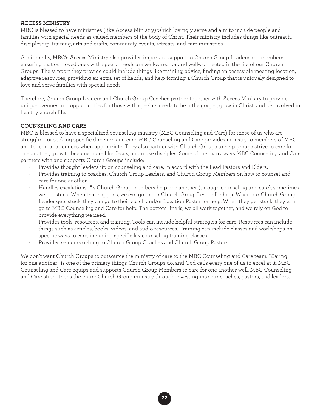## **ACCESS MINISTRY**

MBC is blessed to have ministries (like Access Ministry) which lovingly serve and aim to include people and families with special needs as valued members of the body of Christ. Their ministry includes things like outreach, discipleship, training, arts and crafts, community events, retreats, and care ministries.

Additionally, MBC's Access Ministry also provides important support to Church Group Leaders and members ensuring that our loved ones with special needs are well-cared for and well-connected in the life of our Church Groups. The support they provide could include things like training, advice, finding an accessible meeting location, adaptive resources, providing an extra set of hands, and help forming a Church Group that is uniquely designed to love and serve families with special needs.

Therefore, Church Group Leaders and Church Group Coaches partner together with Access Ministry to provide unique avenues and opportunities for those with specials needs to hear the gospel, grow in Christ, and be involved in healthy church life.

## **COUNSELING AND CARE**

MBC is blessed to have a specialized counseling ministry (MBC Counseling and Care) for those of us who are struggling or seeking specific direction and care. MBC Counseling and Care provides ministry to members of MBC and to regular attendees when appropriate. They also partner with Church Groups to help groups strive to care for one another, grow to become more like Jesus, and make disciples. Some of the many ways MBC Counseling and Care partners with and supports Church Groups include:

- Provides thought leadership on counseling and care, in accord with the Lead Pastors and Elders.
- Provides training to coaches, Church Group Leaders, and Church Group Members on how to counsel and care for one another.
- Handles escalations. As Church Group members help one another (through counseling and care), sometimes we get stuck. When that happens, we can go to our Church Group Leader for help. When our Church Group Leader gets stuck, they can go to their coach and/or Location Pastor for help. When they get stuck, they can go to MBC Counseling and Care for help. The bottom line is, we all work together, and we rely on God to provide everything we need.
- Provides tools, resources, and training. Tools can include helpful strategies for care. Resources can include things such as articles, books, videos, and audio resources. Training can include classes and workshops on specific ways to care, including specific lay counseling training classes.
- Provides senior coaching to Church Group Coaches and Church Group Pastors.

We don't want Church Groups to outsource the ministry of care to the MBC Counseling and Care team. "Caring for one another" is one of the primary things Church Groups do, and God calls every one of us to excel at it. MBC Counseling and Care equips and supports Church Group Members to care for one another well. MBC Counseling and Care strengthens the entire Church Group ministry through investing into our coaches, pastors, and leaders.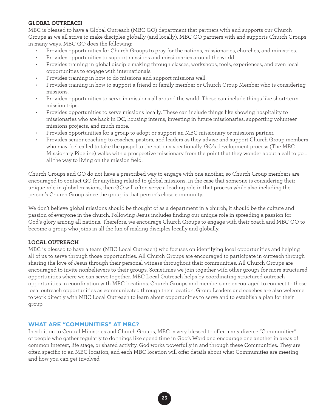## **GLOBAL OUTREACH**

MBC is blessed to have a Global Outreach (MBC GO) department that partners with and supports our Church Groups as we all strive to make disciples globally (and locally). MBC GO partners with and supports Church Groups in many ways. MBC GO does the following:

- Provides opportunities for Church Groups to pray for the nations, missionaries, churches, and ministries.
- Provides opportunities to support missions and missionaries around the world.
- Provides training in global disciple making through classes, workshops, tools, experiences, and even local opportunities to engage with internationals.
- Provides training in how to do missions and support missions well.
- Provides training in how to support a friend or family member or Church Group Member who is considering missions.
- Provides opportunities to serve in missions all around the world. These can include things like short-term mission trips.
- Provides opportunities to serve missions locally. These can include things like showing hospitality to missionaries who are back in DC, housing interns, investing in future missionaries, supporting volunteer missions projects, and much more.
- Provides opportunities for a group to adopt or support an MBC missionary or missions partner.
- Provides senior coaching to coaches, pastors, and leaders as they advise and support Church Group members who may feel called to take the gospel to the nations vocationally. GO's development process (The MBC Missionary Pipeline) walks with a prospective missionary from the point that they wonder about a call to go... all the way to living on the mission field.

Church Groups and GO do not have a prescribed way to engage with one another, so Church Group members are encouraged to contact GO for anything related to global missions. In the case that someone is considering their unique role in global missions, then GO will often serve a leading role in that process while also including the person's Church Group since the group is that person's close community.

We don't believe global missions should be thought of as a department in a church; it should be the culture and passion of everyone in the church. Following Jesus includes finding our unique role in spreading a passion for God's glory among all nations. Therefore, we encourage Church Groups to engage with their coach and MBC GO to become a group who joins in all the fun of making disciples locally and globally.

# **LOCAL OUTREACH**

MBC is blessed to have a team (MBC Local Outreach) who focuses on identifying local opportunities and helping all of us to serve through those opportunities. All Church Groups are encouraged to participate in outreach through sharing the love of Jesus through their personal witness throughout their communities. All Church Groups are encouraged to invite nonbelievers to their groups. Sometimes we join together with other groups for more structured opportunities where we can serve together. MBC Local Outreach helps by coordinating structured outreach opportunities in coordination with MBC locations. Church Groups and members are encouraged to connect to these local outreach opportunities as communicated through their location. Group Leaders and coaches are also welcome to work directly with MBC Local Outreach to learn about opportunities to serve and to establish a plan for their group.

# **WHAT ARE "COMMUNITIES" AT MBC?**

In addition to Central Ministries and Church Groups, MBC is very blessed to offer many diverse "Communities" of people who gather regularly to do things like spend time in God's Word and encourage one another in areas of common interest, life stage, or shared activity. God works powerfully in and through these Communities. They are often specific to an MBC location, and each MBC location will offer details about what Communities are meeting and how you can get involved.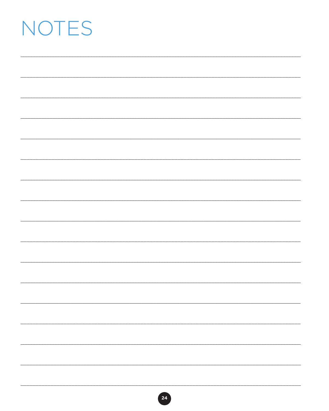# NOTES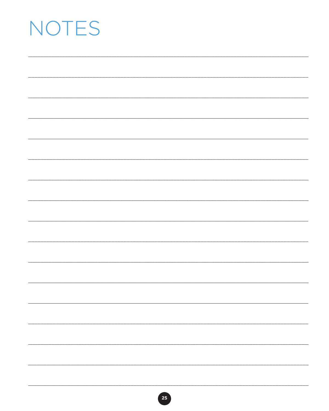# NOTES